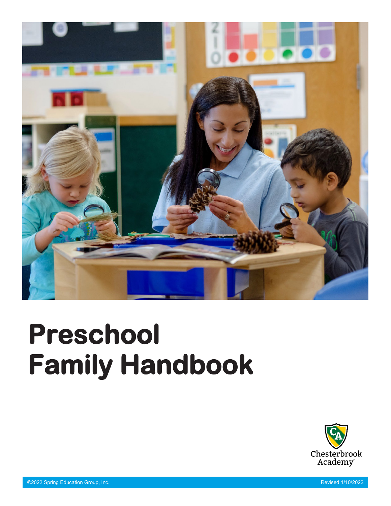

# **Preschool Family Handbook**

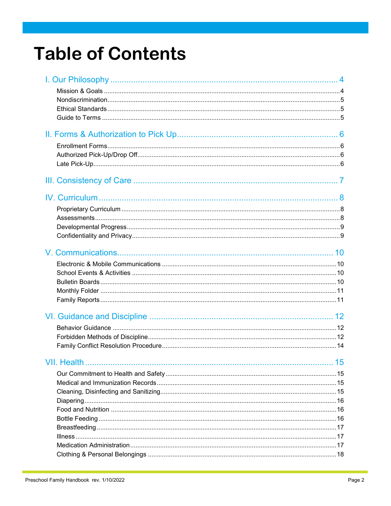### **Table of Contents**

| VII. Health | 15 |
|-------------|----|
|             |    |
|             |    |
|             |    |
|             |    |
|             |    |
|             |    |
|             |    |
|             |    |
|             |    |
|             |    |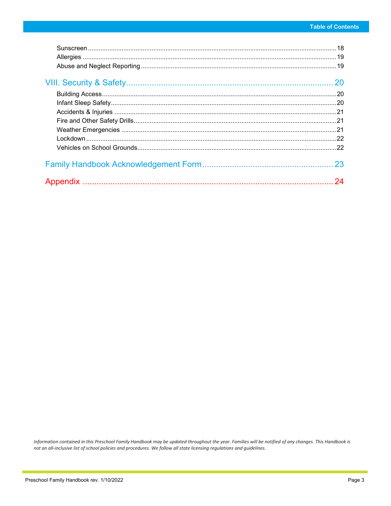| 20 |
|----|
|    |
|    |
|    |
|    |
|    |
|    |
|    |
| 23 |
| 24 |
|    |

Information contained in this Preschool Family Handbook may be updated throughout the year. Families will be notified of any changes. This Handbook is not an all-inclusive list of school policies and procedures. We follow all state licensing regulations and guidelines.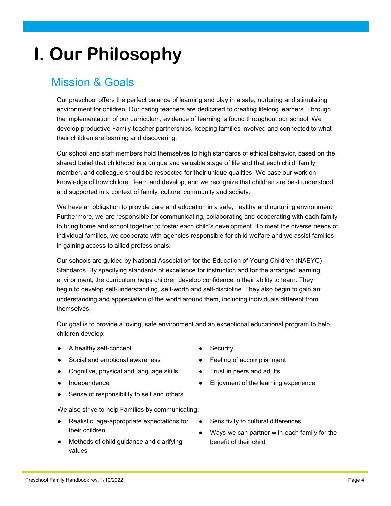### **I. Our Philosophy**

#### Mission & Goals

Our preschool offers the perfect balance of learning and play in a safe, nurturing and stimulating environment for children. Our caring teachers are dedicated to creating lifelong learners. Through the implementation of our curriculum, evidence of learning is found throughout our school. We develop productive Family-teacher partnerships, keeping families involved and connected to what their children are learning and discovering.

Our school and staff members hold themselves to high standards of ethical behavior, based on the shared belief that childhood is a unique and valuable stage of life and that each child, family member, and colleague should be respected for their unique qualities. We base our work on knowledge of how children learn and develop, and we recognize that children are best understood and supported in a context of family, culture, community and society.

We have an obligation to provide care and education in a safe, healthy and nurturing environment. Furthermore, we are responsible for communicating, collaborating and cooperating with each family to bring home and school together to foster each child's development. To meet the diverse needs of individual families, we cooperate with agencies responsible for child welfare and we assist families in gaining access to allied professionals.

Our schools are guided by National Association for the Education of Young Children (NAEYC) Standards. By specifying standards of excellence for instruction and for the arranged learning environment, the curriculum helps children develop confidence in their ability to learn. They begin to develop self-understanding, self-worth and self-discipline. They also begin to gain an understanding and appreciation of the world around them, including individuals different from themselves.

Our goal is to provide a loving, safe environment and an exceptional educational program to help children develop:

- A healthy self-concept
- Social and emotional awareness
- Cognitive, physical and language skills
- Independence
- Sense of responsibility to self and others

We also strive to help Families by communicating:

- Realistic, age-appropriate expectations for their children
- Methods of child guidance and clarifying values
- **Security**
- Feeling of accomplishment
- Trust in peers and adults
- Enjoyment of the learning experience
- Sensitivity to cultural differences
- Ways we can partner with each family for the benefit of their child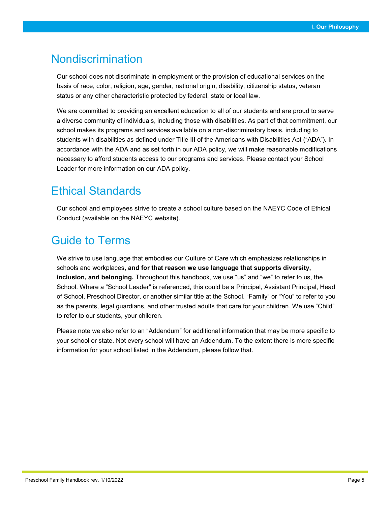#### Nondiscrimination

Our school does not discriminate in employment or the provision of educational services on the basis of race, color, religion, age, gender, national origin, disability, citizenship status, veteran status or any other characteristic protected by federal, state or local law.

We are committed to providing an excellent education to all of our students and are proud to serve a diverse community of individuals, including those with disabilities. As part of that commitment, our school makes its programs and services available on a non-discriminatory basis, including to students with disabilities as defined under Title III of the Americans with Disabilities Act ("ADA"). In accordance with the ADA and as set forth in our ADA policy, we will make reasonable modifications necessary to afford students access to our programs and services. Please contact your School Leader for more information on our ADA policy.

#### Ethical Standards

Our school and employees strive to create a school culture based on the NAEYC Code of Ethical Conduct (available on the NAEYC website).

#### Guide to Terms

We strive to use language that embodies our Culture of Care which emphasizes relationships in schools and workplaces**, and for that reason we use language that supports diversity, inclusion, and belonging.** Throughout this handbook, we use "us" and "we" to refer to us, the School. Where a "School Leader" is referenced, this could be a Principal, Assistant Principal, Head of School, Preschool Director, or another similar title at the School. "Family" or "You" to refer to you as the parents, legal guardians, and other trusted adults that care for your children. We use "Child" to refer to our students, your children.

Please note we also refer to an "Addendum" for additional information that may be more specific to your school or state. Not every school will have an Addendum. To the extent there is more specific information for your school listed in the Addendum, please follow that.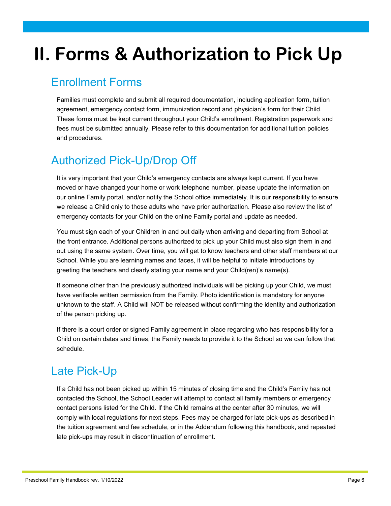### **II. Forms & Authorization to Pick Up**

#### Enrollment Forms

Families must complete and submit all required documentation, including application form, tuition agreement, emergency contact form, immunization record and physician's form for their Child. These forms must be kept current throughout your Child's enrollment. Registration paperwork and fees must be submitted annually. Please refer to this documentation for additional tuition policies and procedures.

#### Authorized Pick-Up/Drop Off

It is very important that your Child's emergency contacts are always kept current. If you have moved or have changed your home or work telephone number, please update the information on our online Family portal, and/or notify the School office immediately. It is our responsibility to ensure we release a Child only to those adults who have prior authorization. Please also review the list of emergency contacts for your Child on the online Family portal and update as needed.

You must sign each of your Children in and out daily when arriving and departing from School at the front entrance. Additional persons authorized to pick up your Child must also sign them in and out using the same system. Over time, you will get to know teachers and other staff members at our School. While you are learning names and faces, it will be helpful to initiate introductions by greeting the teachers and clearly stating your name and your Child(ren)'s name(s).

If someone other than the previously authorized individuals will be picking up your Child, we must have verifiable written permission from the Family. Photo identification is mandatory for anyone unknown to the staff. A Child will NOT be released without confirming the identity and authorization of the person picking up.

If there is a court order or signed Family agreement in place regarding who has responsibility for a Child on certain dates and times, the Family needs to provide it to the School so we can follow that schedule.

#### Late Pick-Up

If a Child has not been picked up within 15 minutes of closing time and the Child's Family has not contacted the School, the School Leader will attempt to contact all family members or emergency contact persons listed for the Child. If the Child remains at the center after 30 minutes, we will comply with local regulations for next steps. Fees may be charged for late pick-ups as described in the tuition agreement and fee schedule, or in the Addendum following this handbook, and repeated late pick-ups may result in discontinuation of enrollment.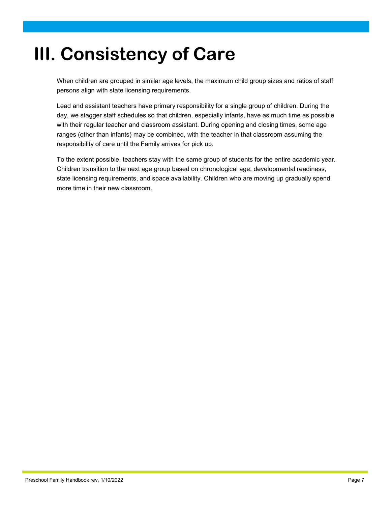### **III. Consistency of Care**

When children are grouped in similar age levels, the maximum child group sizes and ratios of staff persons align with state licensing requirements.

Lead and assistant teachers have primary responsibility for a single group of children. During the day, we stagger staff schedules so that children, especially infants, have as much time as possible with their regular teacher and classroom assistant. During opening and closing times, some age ranges (other than infants) may be combined, with the teacher in that classroom assuming the responsibility of care until the Family arrives for pick up.

To the extent possible, teachers stay with the same group of students for the entire academic year. Children transition to the next age group based on chronological age, developmental readiness, state licensing requirements, and space availability. Children who are moving up gradually spend more time in their new classroom.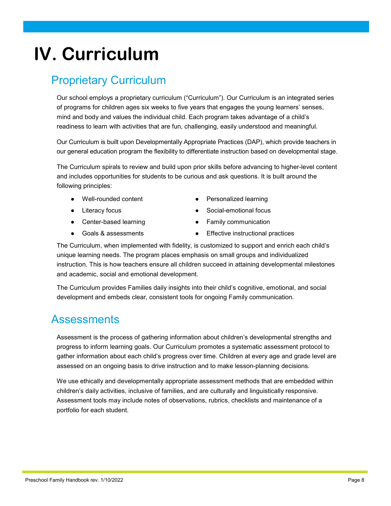#### Preschool Family Handbook rev. 1/10/2022 Page 8

### **IV. Curriculum**

#### Proprietary Curriculum

Our school employs a proprietary curriculum ("Curriculum"). Our Curriculum is an integrated series of programs for children ages six weeks to five years that engages the young learners' senses, mind and body and values the individual child. Each program takes advantage of a child's readiness to learn with activities that are fun, challenging, easily understood and meaningful.

Our Curriculum is built upon Developmentally Appropriate Practices (DAP), which provide teachers in our general education program the flexibility to differentiate instruction based on developmental stage.

The Curriculum spirals to review and build upon prior skills before advancing to higher-level content and includes opportunities for students to be curious and ask questions. It is built around the following principles:

- Well-rounded content
- Literacy focus
- Center-based learning
- Goals & assessments
- Personalized learning
- Social-emotional focus
- Family communication
- Effective instructional practices

The Curriculum, when implemented with fidelity, is customized to support and enrich each child's unique learning needs. The program places emphasis on small groups and individualized instruction. This is how teachers ensure all children succeed in attaining developmental milestones and academic, social and emotional development.

The Curriculum provides Families daily insights into their child's cognitive, emotional, and social development and embeds clear, consistent tools for ongoing Family communication.

#### Assessments

Assessment is the process of gathering information about children's developmental strengths and progress to inform learning goals. Our Curriculum promotes a systematic assessment protocol to gather information about each child's progress over time. Children at every age and grade level are assessed on an ongoing basis to drive instruction and to make lesson-planning decisions.

We use ethically and developmentally appropriate assessment methods that are embedded within children's daily activities, inclusive of families, and are culturally and linguistically responsive. Assessment tools may include notes of observations, rubrics, checklists and maintenance of a portfolio for each student.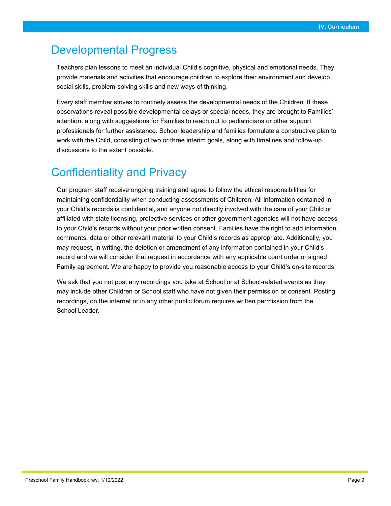#### Developmental Progress

Teachers plan lessons to meet an individual Child's cognitive, physical and emotional needs. They provide materials and activities that encourage children to explore their environment and develop social skills, problem-solving skills and new ways of thinking.

Every staff member strives to routinely assess the developmental needs of the Children. If these observations reveal possible developmental delays or special needs, they are brought to Families' attention, along with suggestions for Families to reach out to pediatricians or other support professionals for further assistance. School leadership and families formulate a constructive plan to work with the Child, consisting of two or three interim goals, along with timelines and follow-up discussions to the extent possible.

#### Confidentiality and Privacy

Our program staff receive ongoing training and agree to follow the ethical responsibilities for maintaining confidentiality when conducting assessments of Children. All information contained in your Child's records is confidential, and anyone not directly involved with the care of your Child or affiliated with state licensing, protective services or other government agencies will not have access to your Child's records without your prior written consent. Families have the right to add information, comments, data or other relevant material to your Child's records as appropriate. Additionally, you may request, in writing, the deletion or amendment of any information contained in your Child's record and we will consider that request in accordance with any applicable court order or signed Family agreement. We are happy to provide you reasonable access to your Child's on-site records.

We ask that you not post any recordings you take at School or at School-related events as they may include other Children or School staff who have not given their permission or consent. Posting recordings, on the internet or in any other public forum requires written permission from the School Leader.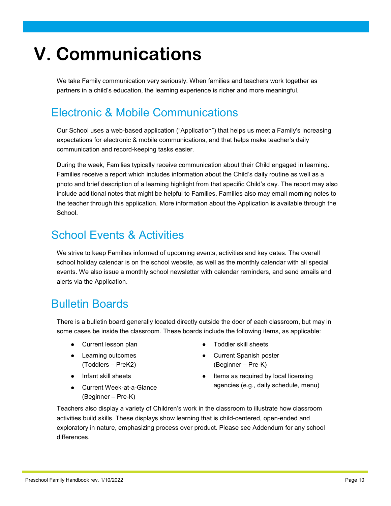## **V. Communications**

We take Family communication very seriously. When families and teachers work together as partners in a child's education, the learning experience is richer and more meaningful.

#### Electronic & Mobile Communications

Our School uses a web-based application ("Application") that helps us meet a Family's increasing expectations for electronic & mobile communications, and that helps make teacher's daily communication and record-keeping tasks easier.

During the week, Families typically receive communication about their Child engaged in learning. Families receive a report which includes information about the Child's daily routine as well as a photo and brief description of a learning highlight from that specific Child's day. The report may also include additional notes that might be helpful to Families. Families also may email morning notes to the teacher through this application. More information about the Application is available through the School.

#### School Events & Activities

We strive to keep Families informed of upcoming events, activities and key dates. The overall school holiday calendar is on the school website, as well as the monthly calendar with all special events. We also issue a monthly school newsletter with calendar reminders, and send emails and alerts via the Application.

#### Bulletin Boards

There is a bulletin board generally located directly outside the door of each classroom, but may in some cases be inside the classroom. These boards include the following items, as applicable:

- Current lesson plan
- Learning outcomes (Toddlers – PreK2)
- Infant skill sheets
- Current Week-at-a-Glance (Beginner – Pre-K)
- Toddler skill sheets
- Current Spanish poster (Beginner – Pre-K)
- Items as required by local licensing agencies (e.g., daily schedule, menu)

Teachers also display a variety of Children's work in the classroom to illustrate how classroom activities build skills. These displays show learning that is child-centered, open-ended and exploratory in nature, emphasizing process over product. Please see Addendum for any school differences.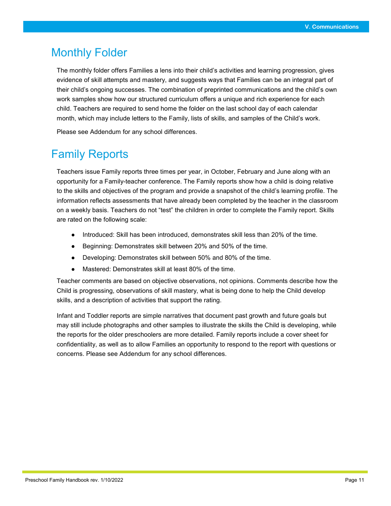#### Monthly Folder

The monthly folder offers Families a lens into their child's activities and learning progression, gives evidence of skill attempts and mastery, and suggests ways that Families can be an integral part of their child's ongoing successes. The combination of preprinted communications and the child's own work samples show how our structured curriculum offers a unique and rich experience for each child. Teachers are required to send home the folder on the last school day of each calendar month, which may include letters to the Family, lists of skills, and samples of the Child's work.

Please see Addendum for any school differences.

#### Family Reports

Teachers issue Family reports three times per year, in October, February and June along with an opportunity for a Family-teacher conference. The Family reports show how a child is doing relative to the skills and objectives of the program and provide a snapshot of the child's learning profile. The information reflects assessments that have already been completed by the teacher in the classroom on a weekly basis. Teachers do not "test" the children in order to complete the Family report. Skills are rated on the following scale:

- Introduced: Skill has been introduced, demonstrates skill less than 20% of the time.
- Beginning: Demonstrates skill between 20% and 50% of the time.
- Developing: Demonstrates skill between 50% and 80% of the time.
- Mastered: Demonstrates skill at least 80% of the time.

Teacher comments are based on objective observations, not opinions. Comments describe how the Child is progressing, observations of skill mastery, what is being done to help the Child develop skills, and a description of activities that support the rating.

Infant and Toddler reports are simple narratives that document past growth and future goals but may still include photographs and other samples to illustrate the skills the Child is developing, while the reports for the older preschoolers are more detailed. Family reports include a cover sheet for confidentiality, as well as to allow Families an opportunity to respond to the report with questions or concerns. Please see Addendum for any school differences.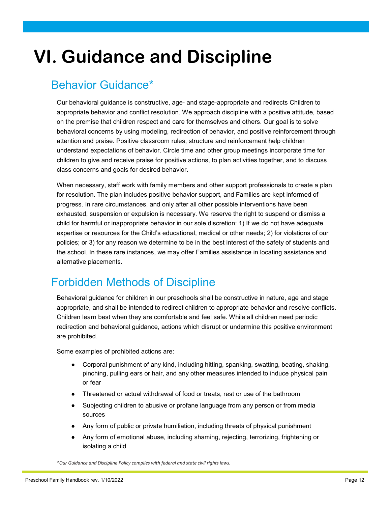### **VI. Guidance and Discipline**

#### Behavior Guidance\*

Our behavioral guidance is constructive, age- and stage-appropriate and redirects Children to appropriate behavior and conflict resolution. We approach discipline with a positive attitude, based on the premise that children respect and care for themselves and others. Our goal is to solve behavioral concerns by using modeling, redirection of behavior, and positive reinforcement through attention and praise. Positive classroom rules, structure and reinforcement help children understand expectations of behavior. Circle time and other group meetings incorporate time for children to give and receive praise for positive actions, to plan activities together, and to discuss class concerns and goals for desired behavior.

When necessary, staff work with family members and other support professionals to create a plan for resolution. The plan includes positive behavior support, and Families are kept informed of progress. In rare circumstances, and only after all other possible interventions have been exhausted, suspension or expulsion is necessary. We reserve the right to suspend or dismiss a child for harmful or inappropriate behavior in our sole discretion: 1) If we do not have adequate expertise or resources for the Child's educational, medical or other needs; 2) for violations of our policies; or 3) for any reason we determine to be in the best interest of the safety of students and the school. In these rare instances, we may offer Families assistance in locating assistance and alternative placements.

#### Forbidden Methods of Discipline

Behavioral guidance for children in our preschools shall be constructive in nature, age and stage appropriate, and shall be intended to redirect children to appropriate behavior and resolve conflicts. Children learn best when they are comfortable and feel safe. While all children need periodic redirection and behavioral guidance, actions which disrupt or undermine this positive environment are prohibited.

Some examples of prohibited actions are:

- Corporal punishment of any kind, including hitting, spanking, swatting, beating, shaking, pinching, pulling ears or hair, and any other measures intended to induce physical pain or fear
- Threatened or actual withdrawal of food or treats, rest or use of the bathroom
- Subjecting children to abusive or profane language from any person or from media sources
- Any form of public or private humiliation, including threats of physical punishment
- Any form of emotional abuse, including shaming, rejecting, terrorizing, frightening or isolating a child

*\*Our Guidance and Discipline Policy complies with federal and state civil rights laws.*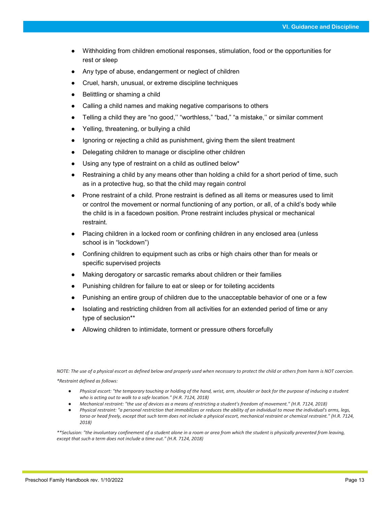- Withholding from children emotional responses, stimulation, food or the opportunities for rest or sleep
- Any type of abuse, endangerment or neglect of children
- Cruel, harsh, unusual, or extreme discipline techniques
- Belittling or shaming a child
- Calling a child names and making negative comparisons to others
- Telling a child they are "no good," "worthless," "bad," "a mistake," or similar comment
- Yelling, threatening, or bullying a child
- Ignoring or rejecting a child as punishment, giving them the silent treatment
- Delegating children to manage or discipline other children
- Using any type of restraint on a child as outlined below\*
- Restraining a child by any means other than holding a child for a short period of time, such as in a protective hug, so that the child may regain control
- Prone restraint of a child. Prone restraint is defined as all items or measures used to limit or control the movement or normal functioning of any portion, or all, of a child's body while the child is in a facedown position. Prone restraint includes physical or mechanical restraint.
- Placing children in a locked room or confining children in any enclosed area (unless school is in "lockdown")
- Confining children to equipment such as cribs or high chairs other than for meals or specific supervised projects
- Making derogatory or sarcastic remarks about children or their families
- Punishing children for failure to eat or sleep or for toileting accidents
- Punishing an entire group of children due to the unacceptable behavior of one or a few
- Isolating and restricting children from all activities for an extended period of time or any type of seclusion\*\*
- Allowing children to intimidate, torment or pressure others forcefully

*NOTE: The use of a physical escort as defined below and properly used when necessary to protect the child or others from harm is NOT coercion.*

*\*Restraint defined as follows:*

- Physical escort: "the temporary touching or holding of the hand, wrist, arm, shoulder or back for the purpose of inducing a student *who is acting out to walk to a safe location." (H.R. 7124, 2018)*
- *Mechanical restraint: "the use of devices as a means of restricting a student's freedom of movement." (H.R. 7124, 2018)*
- *Physical restraint: "a personal restriction that immobilizes or reduces the ability of an individual to move the individual's arms, legs, torso or head freely, except that such term does not include a physical escort, mechanical restraint or chemical restraint." (H.R. 7124, 2018)*

*\*\*Seclusion: "the involuntary confinement of a student alone in a room or area from which the student is physically prevented from leaving, except that such a term does not include a time out." (H.R. 7124, 2018)*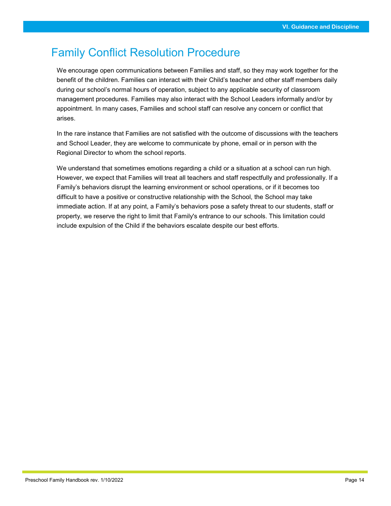#### Family Conflict Resolution Procedure

We encourage open communications between Families and staff, so they may work together for the benefit of the children. Families can interact with their Child's teacher and other staff members daily during our school's normal hours of operation, subject to any applicable security of classroom management procedures. Families may also interact with the School Leaders informally and/or by appointment. In many cases, Families and school staff can resolve any concern or conflict that arises.

In the rare instance that Families are not satisfied with the outcome of discussions with the teachers and School Leader, they are welcome to communicate by phone, email or in person with the Regional Director to whom the school reports.

We understand that sometimes emotions regarding a child or a situation at a school can run high. However, we expect that Families will treat all teachers and staff respectfully and professionally. If a Family's behaviors disrupt the learning environment or school operations, or if it becomes too difficult to have a positive or constructive relationship with the School, the School may take immediate action. If at any point, a Family's behaviors pose a safety threat to our students, staff or property, we reserve the right to limit that Family's entrance to our schools. This limitation could include expulsion of the Child if the behaviors escalate despite our best efforts.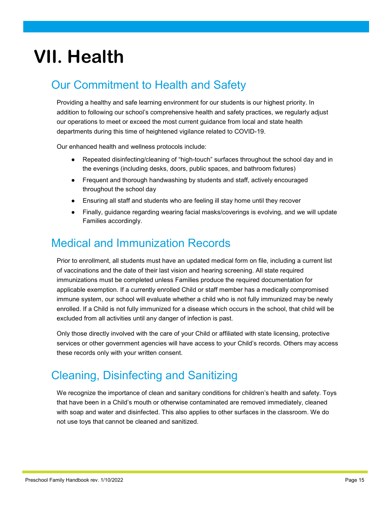### **VII. Health**

#### Our Commitment to Health and Safety

Providing a healthy and safe learning environment for our students is our highest priority. In addition to following our school's comprehensive health and safety practices, we regularly adjust our operations to meet or exceed the most current guidance from local and state health departments during this time of heightened vigilance related to COVID-19.

Our enhanced health and wellness protocols include:

- Repeated disinfecting/cleaning of "high-touch" surfaces throughout the school day and in the evenings (including desks, doors, public spaces, and bathroom fixtures)
- Frequent and thorough handwashing by students and staff, actively encouraged throughout the school day
- Ensuring all staff and students who are feeling ill stay home until they recover
- Finally, guidance regarding wearing facial masks/coverings is evolving, and we will update Families accordingly.

#### Medical and Immunization Records

Prior to enrollment, all students must have an updated medical form on file, including a current list of vaccinations and the date of their last vision and hearing screening. All state required immunizations must be completed unless Families produce the required documentation for applicable exemption. If a currently enrolled Child or staff member has a medically compromised immune system, our school will evaluate whether a child who is not fully immunized may be newly enrolled. If a Child is not fully immunized for a disease which occurs in the school, that child will be excluded from all activities until any danger of infection is past.

Only those directly involved with the care of your Child or affiliated with state licensing, protective services or other government agencies will have access to your Child's records. Others may access these records only with your written consent.

#### Cleaning, Disinfecting and Sanitizing

We recognize the importance of clean and sanitary conditions for children's health and safety. Toys that have been in a Child's mouth or otherwise contaminated are removed immediately, cleaned with soap and water and disinfected. This also applies to other surfaces in the classroom. We do not use toys that cannot be cleaned and sanitized.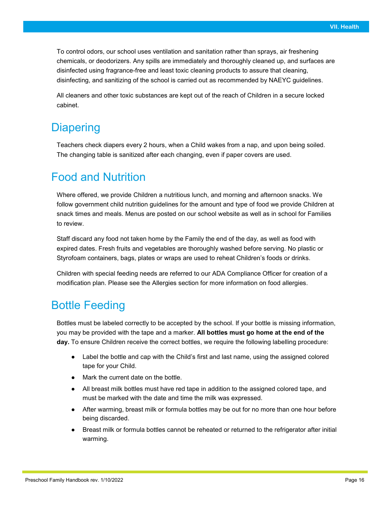To control odors, our school uses ventilation and sanitation rather than sprays, air freshening chemicals, or deodorizers. Any spills are immediately and thoroughly cleaned up, and surfaces are disinfected using fragrance-free and least toxic cleaning products to assure that cleaning, disinfecting, and sanitizing of the school is carried out as recommended by NAEYC guidelines.

All cleaners and other toxic substances are kept out of the reach of Children in a secure locked cabinet.

#### **Diapering**

Teachers check diapers every 2 hours, when a Child wakes from a nap, and upon being soiled. The changing table is sanitized after each changing, even if paper covers are used.

#### Food and Nutrition

Where offered, we provide Children a nutritious lunch, and morning and afternoon snacks. We follow government child nutrition guidelines for the amount and type of food we provide Children at snack times and meals. Menus are posted on our school website as well as in school for Families to review.

Staff discard any food not taken home by the Family the end of the day, as well as food with expired dates. Fresh fruits and vegetables are thoroughly washed before serving. No plastic or Styrofoam containers, bags, plates or wraps are used to reheat Children's foods or drinks.

Children with special feeding needs are referred to our ADA Compliance Officer for creation of a modification plan. Please see the Allergies section for more information on food allergies.

#### Bottle Feeding

Bottles must be labeled correctly to be accepted by the school. If your bottle is missing information, you may be provided with the tape and a marker. **All bottles must go home at the end of the day.** To ensure Children receive the correct bottles, we require the following labelling procedure:

- Label the bottle and cap with the Child's first and last name, using the assigned colored tape for your Child.
- Mark the current date on the bottle.
- All breast milk bottles must have red tape in addition to the assigned colored tape, and must be marked with the date and time the milk was expressed.
- After warming, breast milk or formula bottles may be out for no more than one hour before being discarded.
- Breast milk or formula bottles cannot be reheated or returned to the refrigerator after initial warming.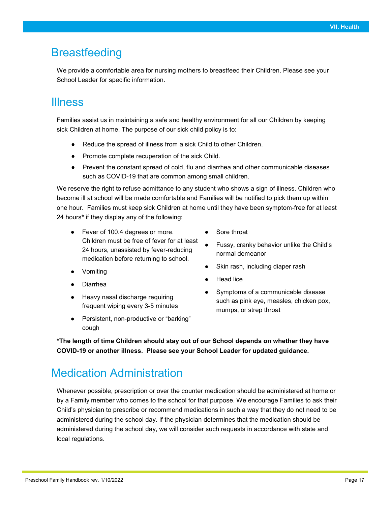#### **Breastfeeding**

We provide a comfortable area for nursing mothers to breastfeed their Children. Please see your School Leader for specific information.

#### Illness

Families assist us in maintaining a safe and healthy environment for all our Children by keeping sick Children at home. The purpose of our sick child policy is to:

- Reduce the spread of illness from a sick Child to other Children.
- Promote complete recuperation of the sick Child.
- Prevent the constant spread of cold, flu and diarrhea and other communicable diseases such as COVID-19 that are common among small children.

We reserve the right to refuse admittance to any student who shows a sign of illness. Children who become ill at school will be made comfortable and Families will be notified to pick them up within one hour. Families must keep sick Children at home until they have been symptom-free for at least 24 hours**\*** if they display any of the following:

- Fever of 100.4 degrees or more. Children must be free of fever for at least 24 hours, unassisted by fever-reducing medication before returning to school.
- **Vomiting**
- **Diarrhea**
- Heavy nasal discharge requiring frequent wiping every 3-5 minutes
- Persistent, non-productive or "barking" cough
- Sore throat
- Fussy, cranky behavior unlike the Child's normal demeanor
- Skin rash, including diaper rash
- Head lice
- Symptoms of a communicable disease such as pink eye, measles, chicken pox, mumps, or strep throat

**\*The length of time Children should stay out of our School depends on whether they have COVID-19 or another illness. Please see your School Leader for updated guidance.**

#### Medication Administration

Whenever possible, prescription or over the counter medication should be administered at home or by a Family member who comes to the school for that purpose. We encourage Families to ask their Child's physician to prescribe or recommend medications in such a way that they do not need to be administered during the school day. If the physician determines that the medication should be administered during the school day, we will consider such requests in accordance with state and local regulations.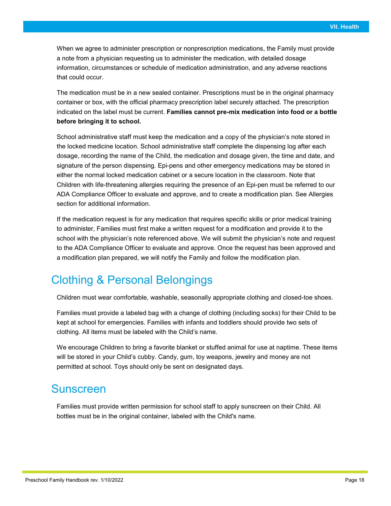When we agree to administer prescription or nonprescription medications, the Family must provide a note from a physician requesting us to administer the medication, with detailed dosage information, circumstances or schedule of medication administration, and any adverse reactions that could occur.

The medication must be in a new sealed container. Prescriptions must be in the original pharmacy container or box, with the official pharmacy prescription label securely attached. The prescription indicated on the label must be current. **Families cannot pre-mix medication into food or a bottle before bringing it to school.**

School administrative staff must keep the medication and a copy of the physician's note stored in the locked medicine location. School administrative staff complete the dispensing log after each dosage, recording the name of the Child, the medication and dosage given, the time and date, and signature of the person dispensing. Epi-pens and other emergency medications may be stored in either the normal locked medication cabinet or a secure location in the classroom. Note that Children with life-threatening allergies requiring the presence of an Epi-pen must be referred to our ADA Compliance Officer to evaluate and approve, and to create a modification plan. See Allergies section for additional information.

If the medication request is for any medication that requires specific skills or prior medical training to administer, Families must first make a written request for a modification and provide it to the school with the physician's note referenced above. We will submit the physician's note and request to the ADA Compliance Officer to evaluate and approve. Once the request has been approved and a modification plan prepared, we will notify the Family and follow the modification plan.

#### Clothing & Personal Belongings

Children must wear comfortable, washable, seasonally appropriate clothing and closed-toe shoes.

Families must provide a labeled bag with a change of clothing (including socks) for their Child to be kept at school for emergencies. Families with infants and toddlers should provide two sets of clothing. All items must be labeled with the Child's name.

We encourage Children to bring a favorite blanket or stuffed animal for use at naptime. These items will be stored in your Child's cubby. Candy, gum, toy weapons, jewelry and money are not permitted at school. Toys should only be sent on designated days.

#### Sunscreen

Families must provide written permission for school staff to apply sunscreen on their Child. All bottles must be in the original container, labeled with the Child's name.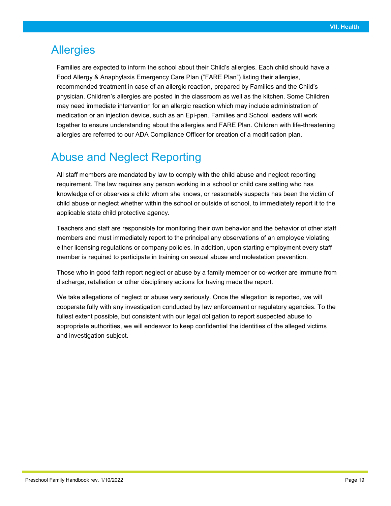#### **Allergies**

Families are expected to inform the school about their Child's allergies. Each child should have a Food Allergy & Anaphylaxis Emergency Care Plan ("FARE Plan") listing their allergies, recommended treatment in case of an allergic reaction, prepared by Families and the Child's physician. Children's allergies are posted in the classroom as well as the kitchen. Some Children may need immediate intervention for an allergic reaction which may include administration of medication or an injection device, such as an Epi-pen. Families and School leaders will work together to ensure understanding about the allergies and FARE Plan. Children with life-threatening allergies are referred to our ADA Compliance Officer for creation of a modification plan.

#### Abuse and Neglect Reporting

All staff members are mandated by law to comply with the child abuse and neglect reporting requirement. The law requires any person working in a school or child care setting who has knowledge of or observes a child whom she knows, or reasonably suspects has been the victim of child abuse or neglect whether within the school or outside of school, to immediately report it to the applicable state child protective agency.

Teachers and staff are responsible for monitoring their own behavior and the behavior of other staff members and must immediately report to the principal any observations of an employee violating either licensing regulations or company policies*.* In addition, upon starting employment every staff member is required to participate in training on sexual abuse and molestation prevention.

Those who in good faith report neglect or abuse by a family member or co-worker are immune from discharge, retaliation or other disciplinary actions for having made the report.

We take allegations of neglect or abuse very seriously. Once the allegation is reported, we will cooperate fully with any investigation conducted by law enforcement or regulatory agencies. To the fullest extent possible, but consistent with our legal obligation to report suspected abuse to appropriate authorities, we will endeavor to keep confidential the identities of the alleged victims and investigation subject.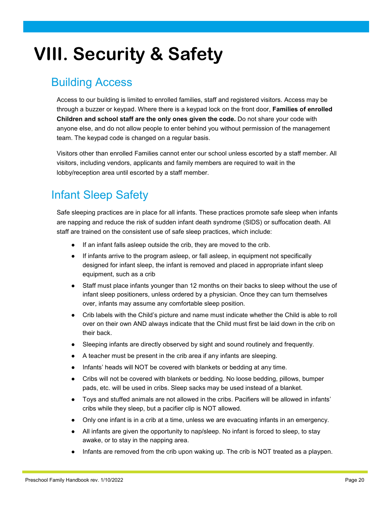### **VIII. Security & Safety**

#### Building Access

Access to our building is limited to enrolled families, staff and registered visitors. Access may be through a buzzer or keypad. Where there is a keypad lock on the front door, **Families of enrolled Children and school staff are the only ones given the code.** Do not share your code with anyone else, and do not allow people to enter behind you without permission of the management team. The keypad code is changed on a regular basis.

Visitors other than enrolled Families cannot enter our school unless escorted by a staff member. All visitors, including vendors, applicants and family members are required to wait in the lobby/reception area until escorted by a staff member.

#### Infant Sleep Safety

Safe sleeping practices are in place for all infants. These practices promote safe sleep when infants are napping and reduce the risk of sudden infant death syndrome (SIDS) or suffocation death. All staff are trained on the consistent use of safe sleep practices, which include:

- If an infant falls asleep outside the crib, they are moved to the crib.
- If infants arrive to the program asleep, or fall asleep, in equipment not specifically designed for infant sleep, the infant is removed and placed in appropriate infant sleep equipment, such as a crib
- Staff must place infants younger than 12 months on their backs to sleep without the use of infant sleep positioners, unless ordered by a physician. Once they can turn themselves over, infants may assume any comfortable sleep position.
- Crib labels with the Child's picture and name must indicate whether the Child is able to roll over on their own AND always indicate that the Child must first be laid down in the crib on their back.
- Sleeping infants are directly observed by sight and sound routinely and frequently.
- A teacher must be present in the crib area if any infants are sleeping.
- Infants' heads will NOT be covered with blankets or bedding at any time.
- Cribs will not be covered with blankets or bedding. No loose bedding, pillows, bumper pads, etc. will be used in cribs. Sleep sacks may be used instead of a blanket.
- Toys and stuffed animals are not allowed in the cribs. Pacifiers will be allowed in infants' cribs while they sleep, but a pacifier clip is NOT allowed.
- Only one infant is in a crib at a time, unless we are evacuating infants in an emergency.
- All infants are given the opportunity to nap/sleep. No infant is forced to sleep, to stay awake, or to stay in the napping area.
- Infants are removed from the crib upon waking up. The crib is NOT treated as a playpen.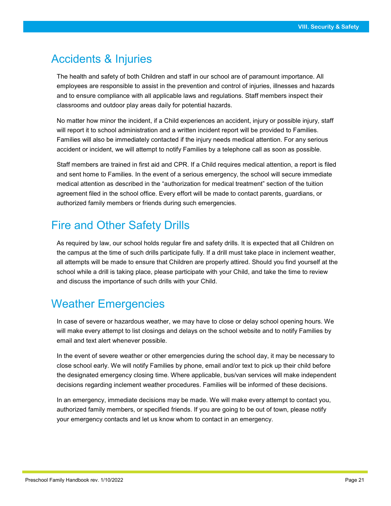#### Accidents & Injuries

The health and safety of both Children and staff in our school are of paramount importance. All employees are responsible to assist in the prevention and control of injuries, illnesses and hazards and to ensure compliance with all applicable laws and regulations. Staff members inspect their classrooms and outdoor play areas daily for potential hazards.

No matter how minor the incident, if a Child experiences an accident, injury or possible injury, staff will report it to school administration and a written incident report will be provided to Families. Families will also be immediately contacted if the injury needs medical attention. For any serious accident or incident, we will attempt to notify Families by a telephone call as soon as possible.

Staff members are trained in first aid and CPR. If a Child requires medical attention, a report is filed and sent home to Families. In the event of a serious emergency, the school will secure immediate medical attention as described in the "authorization for medical treatment" section of the tuition agreement filed in the school office. Every effort will be made to contact parents, guardians, or authorized family members or friends during such emergencies.

#### Fire and Other Safety Drills

As required by law, our school holds regular fire and safety drills. It is expected that all Children on the campus at the time of such drills participate fully. If a drill must take place in inclement weather, all attempts will be made to ensure that Children are properly attired. Should you find yourself at the school while a drill is taking place, please participate with your Child, and take the time to review and discuss the importance of such drills with your Child.

#### Weather Emergencies

In case of severe or hazardous weather, we may have to close or delay school opening hours. We will make every attempt to list closings and delays on the school website and to notify Families by email and text alert whenever possible.

In the event of severe weather or other emergencies during the school day, it may be necessary to close school early. We will notify Families by phone, email and/or text to pick up their child before the designated emergency closing time. Where applicable, bus/van services will make independent decisions regarding inclement weather procedures. Families will be informed of these decisions.

In an emergency, immediate decisions may be made. We will make every attempt to contact you, authorized family members, or specified friends. If you are going to be out of town, please notify your emergency contacts and let us know whom to contact in an emergency.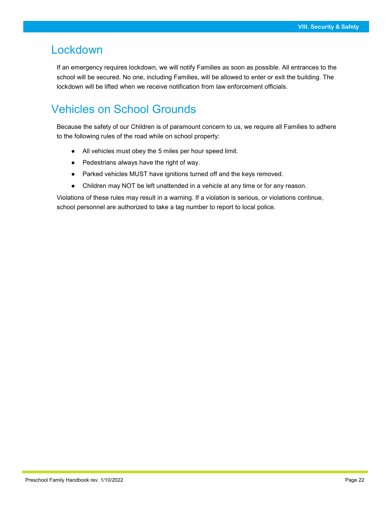#### Lockdown

If an emergency requires lockdown, we will notify Families as soon as possible. All entrances to the school will be secured. No one, including Families, will be allowed to enter or exit the building. The lockdown will be lifted when we receive notification from law enforcement officials.

#### Vehicles on School Grounds

Because the safety of our Children is of paramount concern to us, we require all Families to adhere to the following rules of the road while on school property:

- All vehicles must obey the 5 miles per hour speed limit.
- Pedestrians always have the right of way.
- Parked vehicles MUST have ignitions turned off and the keys removed.
- Children may NOT be left unattended in a vehicle at any time or for any reason.

Violations of these rules may result in a warning. If a violation is serious, or violations continue, school personnel are authorized to take a tag number to report to local police.